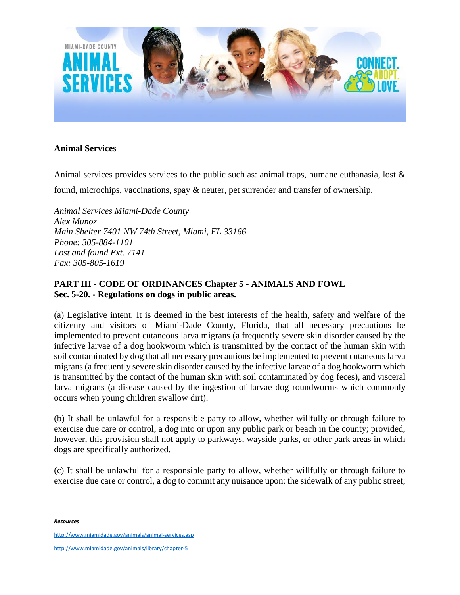

## **Animal Service**s

Animal services provides services to the public such as: animal traps, humane euthanasia, lost  $\&$ 

found, microchips, vaccinations, spay & neuter, pet surrender and transfer of ownership.

*Animal Services Miami-Dade County Alex Munoz Main Shelter 7401 NW 74th Street, Miami, FL 33166 Phone: 305-884-1101 Lost and found Ext. 7141 Fax: 305-805-1619*

## **PART III - CODE OF ORDINANCES Chapter 5 - ANIMALS AND FOWL Sec. 5-20. - Regulations on dogs in public areas.**

(a) Legislative intent. It is deemed in the best interests of the health, safety and welfare of the citizenry and visitors of Miami-Dade County, Florida, that all necessary precautions be implemented to prevent cutaneous larva migrans (a frequently severe skin disorder caused by the infective larvae of a dog hookworm which is transmitted by the contact of the human skin with soil contaminated by dog that all necessary precautions be implemented to prevent cutaneous larva migrans (a frequently severe skin disorder caused by the infective larvae of a dog hookworm which is transmitted by the contact of the human skin with soil contaminated by dog feces), and visceral larva migrans (a disease caused by the ingestion of larvae dog roundworms which commonly occurs when young children swallow dirt).

(b) It shall be unlawful for a responsible party to allow, whether willfully or through failure to exercise due care or control, a dog into or upon any public park or beach in the county; provided, however, this provision shall not apply to parkways, wayside parks, or other park areas in which dogs are specifically authorized.

(c) It shall be unlawful for a responsible party to allow, whether willfully or through failure to exercise due care or control, a dog to commit any nuisance upon: the sidewalk of any public street;

*Resources*

<http://www.miamidade.gov/animals/animal-services.asp>

<http://www.miamidade.gov/animals/library/chapter-5>